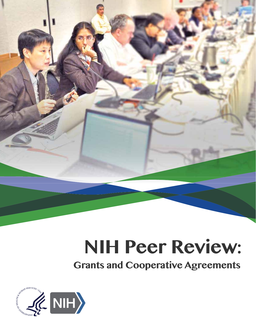

**Grants and Cooperative Agreements** 

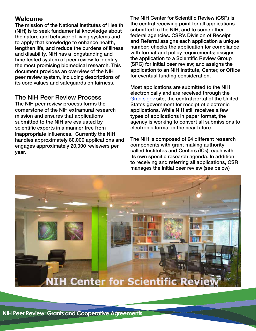## **Welcome**

The mission of the National Institutes of Health (NIH) is to seek fundamental knowledge about the nature and behavior of living systems and to apply that knowledge to enhance health, lengthen life, and reduce the burdens of illness and disability. NIH has a longstanding and time tested system of peer review to identify the most promising biomedical research. This document provides an overview of the NIH peer review system, including descriptions of its core values and safeguards on fairness.

### The NIH Peer Review Process

The NIH peer review process forms the cornerstone of the NIH extramural research mission and ensures that applications submitted to the NIH are evaluated by scientific experts in a manner free from inappropriate influences. Currently the NIH handles approximately 80,000 applications and engages approximately 20,000 reviewers per year.

The NIH Center for Scientific Review (CSR) is the central receiving point for all applications submitted to the NIH, and to some other federal agencies. CSR's Division of Receipt and Referral assigns each application a unique number; checks the application for compliance with format and policy requirements; assigns the application to a Scientific Review Group (SRG) for initial peer review; and assigns the application to an NIH Institute, Center, or Office for eventual funding consideration.

Most applications are submitted to the NIH electronically and are received through the <Grants.gov> site, the central portal of the United States government for receipt of electronic applications. While NIH still receives a few types of applications in paper format, the agency is working to convert all submissions to electronic format in the near future.

The NIH is composed of 24 different research components with grant making authority called Institutes and Centers (ICs), each with its own specific research agenda. In addition to receiving and referring all applications, CSR manages the initial peer review (see below)

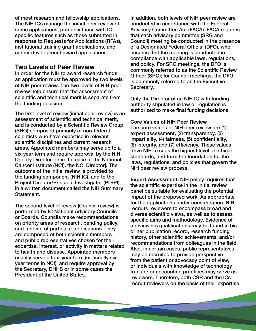of most research and fellowship applications. The NIH ICs manage the initial peer review of some applications, primarily those with ICspecific features such as those submitted in response to Requests for Applications (RFAs), institutional training grant applications, and career development award applications.

## **Two Levels of Peer Review**

In order for the NIH to award research funds, an application must be approved by two levels of NIH peer review. The two levels of NIH peer review help ensure that the assessment of scientific and technical merit is separate from the funding decision.

The first level of review (initial peer review) is an assessment of scientific and technical merit, and is conducted by a Scientific Review Group (SRG) composed primarily of non-federal scientists who have expertise in relevant scientific disciplines and current research areas. Appointed members may serve up to a six-year term and require approval by the NIH Deputy Director [or in the case of the National Cancer Institute (NCI), the NCI Director]. The outcome of the initial review is provided to the funding component (NIH IC), and to the Project Director/Principal Investigator (PD/PI), in a written document called the NIH Summary Statement.

The second level of review (Council review) is performed by IC National Advisory Councils or Boards. Councils make recommendations on priority areas of research, pending policy, and funding of particular applications. They are composed of both scientific members and public representatives chosen for their expertise, interest, or activity in matters related to health and disease. Appointed members usually serve a four-year term (or usually sixyear terms in NCI), and require approval by the Secretary, DHHS or in some cases the President of the United States.

In addition, both levels of NIH peer review are conducted in accordance with the Federal Advisory Committee Act (FACA). FACA requires that each advisory committee (SRG and Council) meeting be conducted in the presence of a Designated Federal Official (DFO), who ensures that the meeting is conducted in compliance with applicable laws, regulations, and policy. For SRG meetings, the DFO is commonly referred to as the Scientific Review Officer (SRO); for Council meetings, the DFO is commonly referred to as the Executive Secretary.

Only the Director of an NIH IC with funding authority stipulated in law or regulation is authorized to make final funding decisions.

### **Core Values of NIH Peer Review**

The core values of NIH peer review are (1) expert assessment, (2) transparency, (3) impartiality, (4) fairness, (5) confidentiality, (6) integrity, and (7) efficiency. These values drive NIH to seek the highest level of ethical standards, and form the foundation for the laws, regulations, and policies that govern the NIH peer review process.

**Expert Assessment:** NIH policy requires that the scientific expertise in the initial review panel be suitable for evaluating the potential impact of the proposed work. As appropriate for the applications under consideration, NIH recruits reviewers to encompass broad and diverse scientific views, as well as to assess specific aims and methodology. Evidence of a reviewer's qualifications may be found in his or her publication record, research funding history, other scientific achievements, and/or recommendations from colleagues in the field. Also, in certain cases, public representatives may be recruited to provide perspective from the patient or advocacy point of view, or individuals with knowledge of technology transfer or accounting practices may serve as reviewers. Therefore, both CSR and the ICs recruit reviewers on the basis of their expertise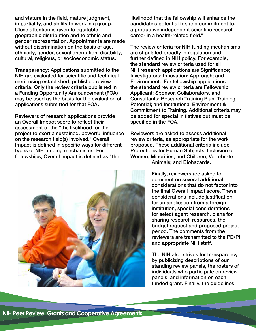and stature in the field, mature judgment, impartiality, and ability to work in a group. Close attention is given to equitable geographic distribution and to ethnic and gender representation. Appointments are made without discrimination on the basis of age. ethnicity, gender, sexual orientation, disability, cultural, religious, or socioeconomic status.

**Transparency:** Applications submitted to the NIH are evaluated for scientific and technical merit using established, published review criteria. Only the review criteria published in a Funding Opportunity Announcement (FOA) may be used as the basis for the evaluation of applications submitted for that FOA.

Reviewers of research applications provide an Overall Impact score to reflect their assessment of the "the likelihood for the project to exert a sustained, powerful influence on the research field(s) involved." Overall Impact is defined in specific ways for different types of NIH funding mechanisms. For fellowships, Overall Impact is defined as "the



The review criteria for NIH funding mechanisms are stipulated broadly in regulation and further defined in NIH policy. For example, the standard review criteria used for all NIH research applications are Significance; Investigators; Innovation; Approach; and Environment. For fellowship applications the standard review criteria are Fellowship Applicant; Sponsor, Collaborators, and Consultants; Research Training Plan; Training Potential; and Institutional Environment & Commitment to Training. Additional criteria may be added for special initiatives but must be specified in the FOA.

Reviewers are asked to assess additional review criteria, as appropriate for the work proposed. These additional criteria include Protections for Human Subjects; Inclusion of Women, Minorities, and Children; Vertebrate Animals; and Biohazards.

> Finally, reviewers are asked to comment on several additional considerations that do not factor into the final Overall Impact score. These considerations include justification for an application from a foreign institution, special considerations for select agent research, plans for sharing research resources, the budget request and proposed project period. The comments from the reviewers are transmitted to the PD/PI and appropriate NIH staff.

> The NIH also strives for transparency by publicizing descriptions of our standing review panels, the rosters of individuals who participate on review panels, and information on each funded grant. Finally, the guidelines

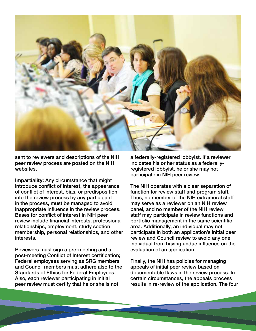

sent to reviewers and descriptions of the NIH peer review process are posted on the NIH websites.

**Impartiality:** Any circumstance that might introduce conflict of interest, the appearance of conflict of interest, bias, or predisposition into the review process by any participant in the process, must be managed to avoid inappropriate influence in the review process. Bases for conflict of interest in NIH peer review include financial interests, professional relationships, employment, study section membership, personal relationships, and other interests.

Reviewers must sign a pre-meeting and a post-meeting Conflict of Interest certification; Federal employees serving as SRG members and Council members must adhere also to the Standards of Ethics for Federal Employees. Also, each reviewer participating in initial peer review must certify that he or she is not

a federally-registered lobbyist. If a reviewer indicates his or her status as a federallyregistered lobbyist, he or she may not participate in NIH peer review.

The NIH operates with a clear separation of function for review staff and program staff. Thus, no member of the NIH extramural staff may serve as a reviewer on an NIH review panel, and no member of the NIH review staff may participate in review functions and portfolio management in the same scientific area. Additionally, an individual may not participate in both an application's initial peer review and Council review to avoid any one individual from having undue influence on the evaluation of an application.

Finally, the NIH has policies for managing appeals of initial peer review based on documentable flaws in the review process. In certain circumstances, the appeals process results in re-review of the application. The four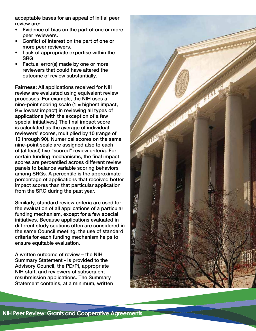acceptable bases for an appeal of initial peer review are:

- Evidence of bias on the part of one or more peer reviewers.
- Conflict of interest on the part of one or more peer reviewers.
- Lack of appropriate expertise within the SRG
- Factual error(s) made by one or more reviewers that could have altered the outcome of review substantially.

**Fairness:** All applications received for NIH review are evaluated using equivalent review processes. For example, the NIH uses a nine-point scoring scale (1 = highest impact, 9 = lowest impact) in reviewing all types of applications (with the exception of a few special initiatives.) The final impact score is calculated as the average of individual reviewers' scores, multiplied by 10 (range of 10 through 90). Numerical scores on the same nine-point scale are assigned also to each of (at least) five "scored" review criteria. For certain funding mechanisms, the final impact scores are percentiled across different review panels to balance variable scoring behaviors among SRGs. A percentile is the approximate percentage of applications that received better impact scores than that particular application from the SRG during the past year.

Similarly, standard review criteria are used for the evaluation of all applications of a particular funding mechanism, except for a few special initiatives. Because applications evaluated in different study sections often are considered in the same Council meeting, the use of standard criteria for each funding mechanism helps to ensure equitable evaluation.

A written outcome of review – the NIH Summary Statement - is provided to the Advisory Council, the PD/PI, appropriate NIH staff, and reviewers of subsequent resubmission applications. The Summary Statement contains, at a minimum, written

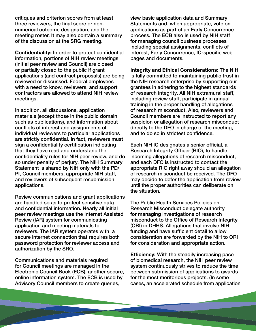critiques and criterion scores from at least three reviewers, the final score or nonnumerical outcome designation, and the meeting roster. It may also contain a summary of the discussion at the SRG meeting.

**Confidentiality:** In order to protect confidential information, portions of NIH review meetings (initial peer review and Council) are closed or partially closed to the public if grant applications (and contract proposals) are being reviewed or discussed. Federal employees with a need to know, reviewers, and support contractors are allowed to attend NIH review meetings.

In addition, all discussions, application materials (except those in the public domain such as publications), and information about conflicts of interest and assignments of individual reviewers to particular applications are strictly confidential. In fact, reviewers must sign a confidentiality certification indicating that they have read and understand the confidentiality rules for NIH peer review, and do so under penalty of perjury. The NIH Summary Statement is shared by NIH only with the PD/ PI, Council members, appropriate NIH staff, and reviewers of subsequent resubmission applications.

Review communications and grant applications are handled so as to protect sensitive data and confidential information. Nearly all initial peer review meetings use the Internet Assisted Review (IAR) system for communicating application and meeting materials to reviewers. The IAR system operates with a secure internet connection that requires both password protection for reviewer access and authorization by the SRO.

Communications and materials required for Council meetings are managed in the Electronic Council Book (ECB), another secure, online information system. The ECB is used by Advisory Council members to create queries,

view basic application data and Summary Statements and, when appropriate, vote on applications as part of an Early Concurrence process. The ECB also is used by NIH staff for managing council business processes including special assignments, conflicts of interest, Early Concurrence, IC-specific web pages and documents.

**Integrity and Ethical Considerations:** The NIH is fully committed to maintaining public trust in the NIH research enterprise by supporting our grantees in adhering to the highest standards of research integrity. All NIH extramural staff, including review staff, participate in annual training in the proper handling of allegations of research misconduct. Also, reviewers and Council members are instructed to report any suspicion or allegation of research misconduct directly to the DFO in charge of the meeting, and to do so in strictest confidence.

Each NIH IC designates a senior official, a Research Integrity Officer (RIO), to handle incoming allegations of research misconduct, and each DFO is instructed to contact the appropriate RIO right away should an allegation of research misconduct be received. The DFO may decide to defer the application from review until the proper authorities can deliberate on the situation.

The Public Health Services Policies on Research Misconduct delegate authority for managing investigations of research misconduct to the Office of Research Integrity (ORI) in DHHS. Allegations that involve NIH funding and have sufficient detail to allow consideration are forwarded by the NIH to ORI for consideration and appropriate action.

**Efficiency:** With the steadily increasing pace of biomedical research, the NIH peer review system continuously strives to reduce the time between submission of applications to awards for the most meritorious projects. (In some cases, an accelerated schedule from application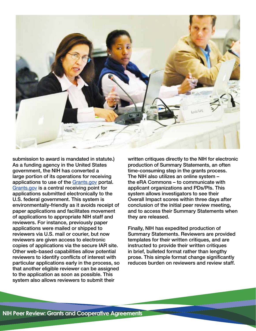

submission to award is mandated in statute.) As a funding agency in the United States government, the NIH has converted a large portion of its operations for receiving applications to use of the <Grants.gov> portal. <Grants.gov> is a central receiving point for applications submitted electronically to the U.S. federal government. This system is environmentally-friendly as it avoids receipt of paper applications and facilitates movement of applications to appropriate NIH staff and reviewers. For instance, previously paper applications were mailed or shipped to reviewers via U.S. mail or courier, but now reviewers are given access to electronic copies of applications via the secure IAR site. Other web-based capabilities allow potential reviewers to identify conflicts of interest with particular applications early in the process, so that another eligible reviewer can be assigned to the application as soon as possible. This system also allows reviewers to submit their

written critiques directly to the NIH for electronic production of Summary Statements, an often time-consuming step in the grants process. The NIH also utilizes an online system – the eRA Commons – to communicate with applicant organizations and PDs/PIs. This system allows investigators to see their Overall Impact scores within three days after conclusion of the initial peer review meeting, and to access their Summary Statements when they are released.

Finally, NIH has expedited production of Summary Statements. Reviewers are provided templates for their written critiques, and are instructed to provide their written critiques in brief, bulleted format rather than lengthy prose. This simple format change significantly reduces burden on reviewers and review staff.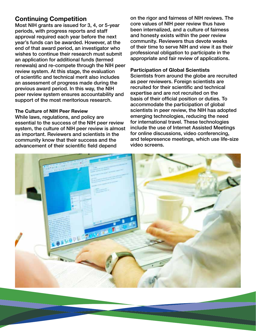# **Continuing Competition**

Most NIH grants are issued for 3, 4, or 5-year periods, with progress reports and staff approval required each year before the next year's funds can be awarded. However, at the end of that award period, an investigator who wishes to continue their research must submit an application for additional funds (termed renewals) and re-compete through the NIH peer review system. At this stage, the evaluation of scientific and technical merit also includes an assessment of progress made during the previous award period. In this way, the NIH peer review system ensures accountability and support of the most meritorious research.

#### **The Culture of NIH Peer Review**

While laws, regulations, and policy are essential to the success of the NIH peer review system, the culture of NIH peer review is almost as important. Reviewers and scientists in the community know that their success and the advancement of their scientific field depend

on the rigor and fairness of NIH reviews. The core values of NIH peer review thus have been internalized, and a culture of fairness and honesty exists within the peer review community. Reviewers thus devote weeks of their time to serve NIH and view it as their professional obligation to participate in the appropriate and fair review of applications.

#### **Participation of Global Scientists**

Scientists from around the globe are recruited as peer reviewers. Foreign scientists are recruited for their scientific and technical expertise and are not recruited on the basis of their official position or duties. To accommodate the participation of global scientists in peer review, the NIH has adopted emerging technologies, reducing the need for international travel. These technologies include the use of Internet Assisted Meetings for online discussions, video conferencing, and telepresence meetings, which use life-size video screens.

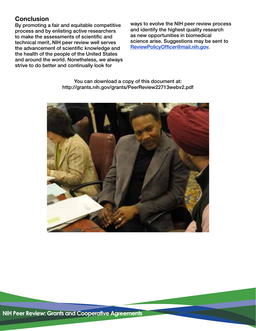# **Conclusion**

process and by enlisting active researchers and identify the highest quality rese<br>to make the assessments of scientific and as new opportunities in biomedical to make the assessments of scientific and as new opportunities in biomedical<br>technical merit. NIH peer review well serves science arise. Suggestions may be sent to technical merit, NIH peer review well serves science arise. Suggestions may be<br>the advancement of scientific knowledge and ReviewPolicyOfficer@mail.nih.gov. the advancement of scientific knowledge and the health of the people of the United States and around the world. Nonetheless, we always strive to do better and continually look for

By promoting a fair and equitable competitive ways to evolve the NIH peer review process<br>process and by enlisting active researchers and identify the highest quality research

You can download a copy of this document at: [http://grants.nih.gov/grants/PeerReview22713webv2.pdf](http://grants.nih.gov/grants/PeerReview22713webv2.pdf )

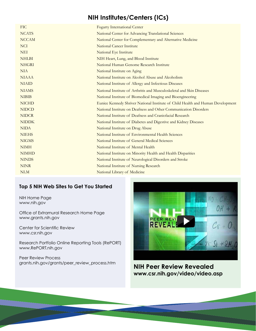# **NIH Institutes/Centers (ICs)**

| <b>FIC</b>   | <b>Fogarty International Center</b>                                             |
|--------------|---------------------------------------------------------------------------------|
| <b>NCATS</b> | National Center for Advancing Translational Sciences                            |
| <b>NCCAM</b> | National Center for Complementary and Alternative Medicine                      |
| <b>NCI</b>   | <b>National Cancer Institute</b>                                                |
| <b>NEI</b>   | National Eye Institute                                                          |
| <b>NHLBI</b> | NIH Heart, Lung, and Blood Institute                                            |
| <b>NHGRI</b> | National Human Genome Research Institute                                        |
| <b>NIA</b>   | National Institute on Aging                                                     |
| <b>NIAAA</b> | National Institute on Alcohol Abuse and Alcoholism                              |
| <b>NIAID</b> | National Institute of Allergy and Infectious Diseases                           |
| <b>NIAMS</b> | National Institute of Arthritis and Musculoskeletal and Skin Diseases           |
| <b>NIBIB</b> | National Institute of Biomedical Imaging and Bioengineering                     |
| <b>NICHD</b> | Eunice Kennedy Shriver National Institute of Child Health and Human Development |
| <b>NIDCD</b> | National Institute on Deafness and Other Communication Disorders                |
| <b>NIDCR</b> | National Institute of Deafness and Craniofacial Research                        |
| <b>NIDDK</b> | National Institute of Diabetes and Digestive and Kidney Diseases                |
| <b>NIDA</b>  | National Institute on Drug Abuse                                                |
| <b>NIEHS</b> | National Institute of Environmental Health Sciences                             |
| <b>NIGMS</b> | National Institute of General Medical Sciences                                  |
| <b>NIMH</b>  | National Institute of Mental Health                                             |
| <b>NIMHD</b> | National Institute on Minority Health and Health Disparities                    |
| <b>NINDS</b> | National Institute of Neurological Disorders and Stroke                         |
| <b>NINR</b>  | National Institute of Nursing Research                                          |
| <b>NLM</b>   | National Library of Medicine                                                    |

### **Top 5 NIH Web Sites to Get You Started**

NIH Home Page [www.nih.gov](http://www.nih.gov) 

Office of Extramural Research Home Page [www.grants.nih.gov](http://www.grants.nih.gov)

Center for Scientific Review [www.csr.nih.gov](http://www.csr.nih.gov)

Research Portfolio Online Reporting Tools (RePORT) [www.RePORT.nih.gov](http://www.RePORT.nih.gov)

Peer Review Process<br>grants.nih.gov/grants/peer\_review\_process.htm



**NIH Peer Review Revealed [www.csr.nih.gov/video/video.asp](http://www.csr.nih.gov/video/video.asp)**